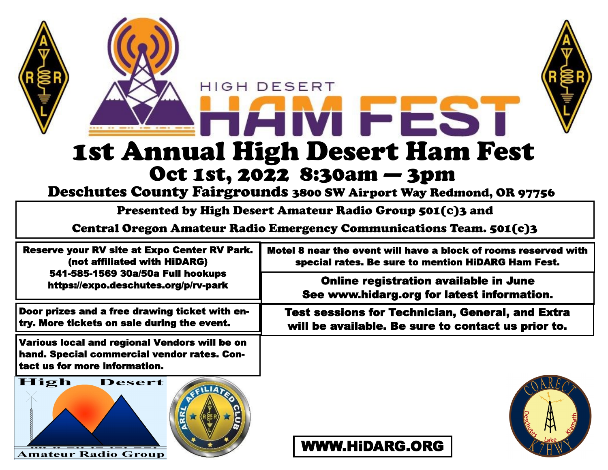

Deschutes County Fairgrounds 3800 SW Airport Way Redmond, OR 97756

Presented by High Desert Amateur Radio Group 501(C)3 and

Central Oregon Amateur Radio Emergency Communications Team. 501(c)3

| <b>Reserve your RV site at Expo Center RV Park.</b><br>(not affiliated with HiDARG)<br>541-585-1569 30a/50a Full hookups<br>https://expo.deschutes.org/p/rv-park | Motel 8 near the event will have a block of rooms reserved with<br>special rates. Be sure to mention HiDARG Ham Fest. |
|------------------------------------------------------------------------------------------------------------------------------------------------------------------|-----------------------------------------------------------------------------------------------------------------------|
|                                                                                                                                                                  | Online registration available in June<br>See www.hidarg.org for latest information.                                   |
| Door prizes and a free drawing ticket with en-<br>try. More tickets on sale during the event.                                                                    | <b>Test sessions for Technician, General, and Extra</b><br>will be available. Be sure to contact us prior to.         |
| Various local and regional Vendors will be on<br>hand. Special commercial vendor rates. Con-                                                                     |                                                                                                                       |

tact us for more information.